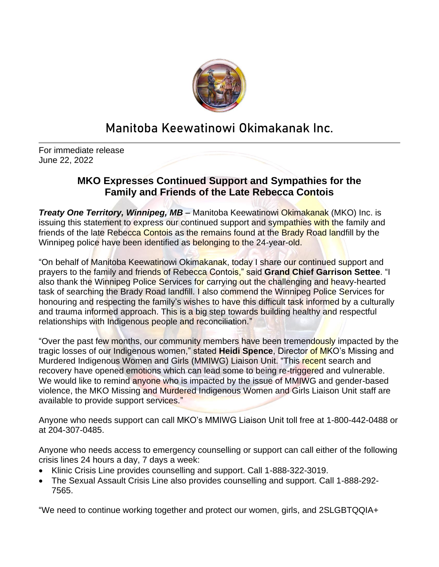

## **Manitoba Keewatinowi Okimakanak Inc.**

For immediate release June 22, 2022

## **MKO Expresses Continued Support and Sympathies for the Family and Friends of the Late Rebecca Contois**

*Treaty One Territory, Winnipeg, MB – Manitoba Keewatinowi Okimakanak (MKO) Inc. is* issuing this statement to express our continued support and sympathies with the family and friends of the late Rebecca Contois as the remains found at the Brady Road landfill by the Winnipeg police have been identified as belonging to the 24-year-old.

"On behalf of Manitoba Keewatinowi Okimakanak, today I share our continued support and prayers to the family and friends of Rebecca Contois," said **Grand Chief Garrison Settee**. "I also thank the Winnipeg Police Services for carrying out the challenging and heavy-hearted task of searching the Brady Road landfill. I also commend the Winnipeg Police Services for honouring and respecting the family's wishes to have this difficult task informed by a culturally and trauma informed approach. This is a big step towards building healthy and respectful relationships with Indigenous people and reconciliation."

"Over the past few months, our community members have been tremendously impacted by the tragic losses of our Indigenous women," stated **Heidi Spence**, Director of MKO's Missing and Murdered Indigenous Women and Girls (MMIWG) Liaison Unit. "This recent search and recovery have opened emotions which can lead some to being re-triggered and vulnerable. We would like to remind anyone who is impacted by the issue of MMIWG and gender-based violence, the MKO Missing and Murdered Indigenous Women and Girls Liaison Unit staff are available to provide support services."

Anyone who needs support can call MKO's MMIWG Liaison Unit toll free at 1-800-442-0488 or at 204-307-0485.

Anyone who needs access to emergency counselling or support can call either of the following crisis lines 24 hours a day, 7 days a week:

- Klinic Crisis Line provides counselling and support. Call 1-888-322-3019.
- The Sexual Assault Crisis Line also provides counselling and support. Call 1-888-292- 7565.

"We need to continue working together and protect our women, girls, and 2SLGBTQQIA+